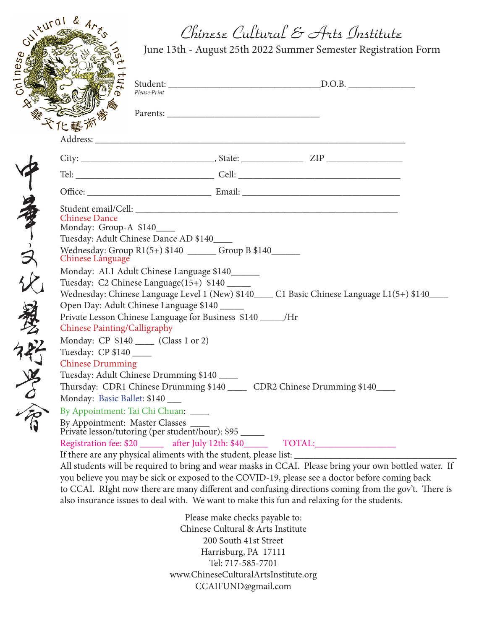## Chinese Cultural & Arts Institute

 $3\sqrt{241016}$ oninese ヒ

了事,只比爱的学会

June 13th - August 25th 2022 Summer Semester Registration Form

|                                                                                                | Please Print |                                |  |        |                                                                                                        |  |
|------------------------------------------------------------------------------------------------|--------------|--------------------------------|--|--------|--------------------------------------------------------------------------------------------------------|--|
|                                                                                                |              |                                |  |        |                                                                                                        |  |
|                                                                                                |              |                                |  |        |                                                                                                        |  |
|                                                                                                |              |                                |  |        |                                                                                                        |  |
|                                                                                                |              |                                |  |        |                                                                                                        |  |
|                                                                                                |              |                                |  |        |                                                                                                        |  |
|                                                                                                |              |                                |  |        |                                                                                                        |  |
|                                                                                                |              |                                |  |        |                                                                                                        |  |
| <b>Chinese Dance</b><br>Monday: Group-A \$140____                                              |              |                                |  |        |                                                                                                        |  |
| Tuesday: Adult Chinese Dance AD \$140                                                          |              |                                |  |        |                                                                                                        |  |
| Wednesday: Group R1(5+) \$140 ______ Group B \$140_____<br>Chinese Language                    |              |                                |  |        |                                                                                                        |  |
| Monday: AL1 Adult Chinese Language \$140______                                                 |              |                                |  |        |                                                                                                        |  |
| Tuesday: C2 Chinese Language(15+) \$140                                                        |              |                                |  |        |                                                                                                        |  |
|                                                                                                |              |                                |  |        | Wednesday: Chinese Language Level 1 (New) \$140___ C1 Basic Chinese Language L1(5+) \$140___           |  |
| Open Day: Adult Chinese Language \$140                                                         |              |                                |  |        |                                                                                                        |  |
| Private Lesson Chinese Language for Business \$140 _____/Hr                                    |              |                                |  |        |                                                                                                        |  |
| Chinese Painting/Calligraphy                                                                   |              |                                |  |        |                                                                                                        |  |
| Monday: CP \$140 ____ (Class 1 or 2)                                                           |              |                                |  |        |                                                                                                        |  |
| Tuesday: CP \$140                                                                              |              |                                |  |        |                                                                                                        |  |
| <b>Chinese Drumming</b>                                                                        |              |                                |  |        |                                                                                                        |  |
| Tuesday: Adult Chinese Drumming \$140                                                          |              |                                |  |        |                                                                                                        |  |
| Thursday: CDR1 Chinese Drumming \$140 _____ CDR2 Chinese Drumming \$140____                    |              |                                |  |        |                                                                                                        |  |
| Monday: Basic Ballet: \$140                                                                    |              |                                |  |        |                                                                                                        |  |
| By Appointment: Tai Chi Chuan: ____                                                            |              |                                |  |        |                                                                                                        |  |
|                                                                                                |              |                                |  |        |                                                                                                        |  |
| Registration fee: \$20 _______ after July 12th: \$40 _____                                     |              |                                |  | TOTAL: |                                                                                                        |  |
|                                                                                                |              |                                |  |        |                                                                                                        |  |
|                                                                                                |              |                                |  |        | All students will be required to bring and wear masks in CCAI. Please bring your own bottled water. If |  |
| you believe you may be sick or exposed to the COVID-19, please see a doctor before coming back |              |                                |  |        |                                                                                                        |  |
|                                                                                                |              |                                |  |        | to CCAI. RIght now there are many different and confusing directions coming from the gov't. There is   |  |
| also insurance issues to deal with. We want to make this fun and relaxing for the students.    |              |                                |  |        |                                                                                                        |  |
|                                                                                                |              | Please make checks payable to: |  |        |                                                                                                        |  |

Please make checks payable to: Chinese Cultural & Arts Institute 200 South 41st Street Harrisburg, PA 17111 Tel: 717-585-7701 www.ChineseCulturalArtsInstitute.org CCAIFUND@gmail.com